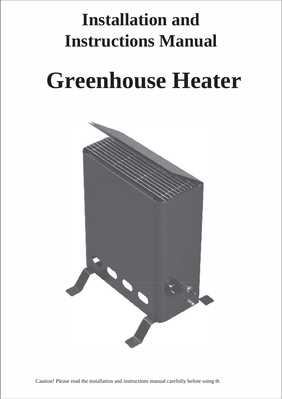## **Installation and Instructions Manual**

# **Greenhouse Heater**

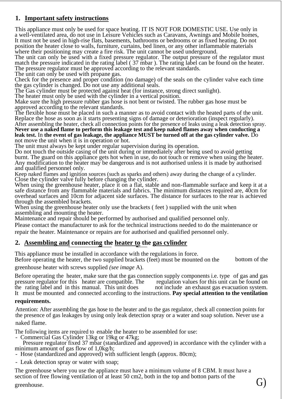#### **1. Important safety instructions**

This appliance must only be used for space heating. IT IS NOT FOR DOMESTIC USE. Use only in a well-ventilated area, do not use in Leisure Vehicles such as Caravans, Awnings and Mobile homes, It must not be used in high-rise flats, basements, bathrooms or bedrooms or as fixed heating. Do not position the heater close to walls, furniture, curtains, bed linen, or any other inflammable materials where their positioning may create a fire risk. The unit cannot be used underground.

The unit can only be used with a fixed pressure regulator. The output pressure of the regulator must match the pressure indicated in the rating label ( 37 mbar ). The rating label can be found on the heater. The pressure regulator must be approved according to the relevant standards.

The unit can only be used with propane gas.

Check for the presence and proper condition (no damage) of the seals on the cylinder valve each time the gas cylinder is changed. Do not use any additional seals.

The Gas cylinder must be protected against heat (for instance, strong direct sunlight).

The heater must only be used with the cylinder in a vertical position.

Make sure the high pressure rubber gas hose is not bent or twisted. The rubber gas hose must be approved according to the relevant standards.

The flexible hose must be placed in such a manner as to avoid contact with the heated parts of the unit. Replace the hose as soon as it starts presenting signs of damage or deterioration (inspect regularly).

After assembling the heater, check all connection points for the presence of leaks using a leak detection spray. **Never use a naked flame to perform this leakage test and keep naked flames away when conducting a leak test.** In **the event of gas leakage, the appliance MUST be turned off at the gas cylinder valve.** Do not move the unit when it is in operation or hot.

The unit must always be kept under regular supervision during its operation.

Do not touch the outside casing of the unit during or immediately after being used to avoid getting burnt. The guard on this appliance gets hot when in use, do not touch or remove when using the heater. Any modification to the heater may be dangerous and is not authorised unless it is made by authorised and qualified personnel only.

Keep naked flames and ignition sources (such as sparks and others) away during the change of a cylinder. Close the cylinder valve fully before changing the cylinder.

When using the greenhouse heater, place it on a flat, stable and non-flammable surface and keep it at a safe distance from any flammable materials and fabrics. The minimum distances required are, 40cm for overhead surfaces and 10cm for adjacent side surfaces. The distance for surfaces to the rear is achieved through the assembled brackets.

When using the greenhouse heater only use the brackets ( feet ) supplied with the unit when assembling and mounting the heater.

Maintenance and repair should be performed by authorised and qualified personnel only.

Please contact the manufacturer to ask for the technical instructions needed to do the maintenance or repair the heater. Maintenance or repairs are for authorised and qualified personnel only.

#### **2. Assembling and connecting the heater to the gas cylinder**

This appliance must be installed in accordance with the regulations in force.

Before operating the heater, the two supplied brackets (feet) must be mounted on the bottom of the

greenhouse heater with screws supplied *(see image* A).

Before operating the heater, make sure that the gas connection supply components i.e. type of gas and gas pressure regulator for this heater are compatible. The regulation values for this unit can be found on pressure regulator for this heater are compatible. The regulation values for this unit can be found on the rating label and in this manual. This unit does not include an exhaust gas evacuation system. the rating label and in this manual. This unit does It must be mounted and connected according to the instructions. **Pay special attention to the ventilation**

#### **requirements.**

Attention: After assembling the gas hose to the heater and to the gas regulator, check all connection points for the presence of gas leakages by using only leak detection spray or a water and soap solution. Never use a

#### naked flame.

The following items are required to enable the heater to be assembled for use:

- Commercial Gas Cylinder 13kg or 19kg or 47kg;

Pressure regulator fixed 37 mbar (standardized and approved) in accordance with the cylinder with a minimum amount of gas flow of 1,0kg/h;

- Hose (standardized and approved) with sufficient length (approx. 80cm);

- Leak detection spray or water with soap;

The greenhouse where you use the appliance must have a minimum volume of 8 CBM. It must have a section of free flowing ventilation of at least 50 cm2, both in the top and botton parts of the  $\mathbb{G}$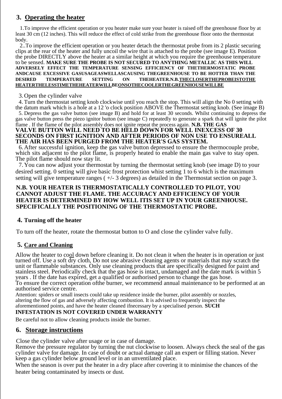#### **3. Operating the heater**

1.To improve the efficient operation or you heater make sure your heater is raised off the greenhouse floor by at least 30 cm (12 inches). This will reduce the effect of cold strike from the greenhouse floor onto the thermostat body.

2..To improve the efficient operation or you heater detach the thermostat probe from its 2 plastic securing clips at the rear of the heater and fully uncoil the wire that is attached to the probe (see image E). Position the probe DIRECTLY above the heater at a similar height at which you require the greenhouse temperature to be sensed. **MAKE SURE THE PROBE IS NOT SECURED TO ANYTHING METALLIC AS THIS WILL ADVERSELY EFFECT THE TEMPERATURE SENSING EFFICIENCY OF THETHERMOSTATIC PROBE ANDCAUSE EXCESSIVE GASUSAGEASWELLASCAUSING THEGREENHOUSE TO BE HOTTER THAN THE DESIRED TEMPERATURE SETTING ON THEHEATER.N.B.THECLOSERTHEPROBEISTOTHE HEATERTHELESSTIMETHEHEATERWILLBEONSOTHECOOLERTHEGREENHOUSEWILLBE**

3.Open the cylinder valve

4. Turn the thermostat setting knob clockwise until you reach the stop. This will align the No 0 setting with the datum mark which is a hole at a 12 'o clock position ABOVE the Thermostat setting knob. (See image B) 5. Depress the gas valve button (see image B) and hold for at least 30 seconds. Whilst continuing to depress the

gas valve button press the piezo ignitor button (see image C) repeatedly to generate a spark that will ignite the pilot flame . If the flame of the pilot assembly does not ignite repeat the process again. **N.B. THE GAS VALVE BUTTON WILL NEED TO BE HELD DOWN FOR WELL INEXCESS OF 30 SECONDS ON FIRST IGNITION AND AFTER PERIODS OF NON USE TO ENSUREALL** 

#### **THE AIR HAS BEEN PURGED FROM THE HEATER'S GAS SYSTEM.**

6.After successful ignition, keep the gas valve button depressed to ensure the thermocouple probe, which sits adjacent to the pilot flame, is properly heated to enable the main gas valve to stay open. The pilot flame should now stay lit.

7.You can now adjust your thermostat by turning the thermostat setting knob (see image D) to your desired setting. 0 setting will give basic frost protection whist setting 1 to 6 which is the maximum setting will give temperature ranges  $(+/-3$  degrees) as detailed in the Thermostat section on page 3.

#### **N.B. YOUR HEATER IS THERMOSTATICALLY CONTROLLED TO PILOT, YOU CANNOT ADJUST THE FLAME. THE ACCURACY AND EFFICIENCY OF YOUR HEATER IS DETERMINED BY HOW WELL ITIS SET UP IN YOUR GREENHOUSE. SPECIFICALLY THE POSITIONING OF THE THERMOSTATIC PROBE.**

#### **4. Turning off the heater**

To turn off the heater, rotate the thermostat button to O and close the cylinder valve fully.

#### **5. Care and Cleaning**

Allow the heater to cool down before cleaning it. Do not clean it when the heater is in operation or just turned off. Use a soft dry cloth, Do not use abrasive cleaning agents or materials that may scratch the unit or flammable substances. Only use cleaning products that are specifically designed for paint and stainless steel. Periodically check that the gas hose is intact, undamaged and the date mark is within 5 years . If the date has expired, get a qualified or authorised person to change the gas hose. To ensure the correct operation ofthe burner, we recommend annual maintenance to be performed at an authorised service centre.

Attention: spiders or small insects could take up residence inside the burner, pilot assembly or nozzles, altering the flow of gas and adversely affecting combustion. It is advised to frequently inspect the aforementioned points, and have the heater cleaned ifnecessary by a specialised person. **SUCH**

#### **INFESTATION IS NOT COVERED UNDER WARRANTY**

Be careful not to allow cleaning products inside the burner.

#### **6. Storage instructions**

Close the cylinder valve after usage or in case of damage.

Remove the pressure regulator by turning the nut clockwise to loosen. Always check the seal of the gas cylinder valve for damage. In case of doubt or actual damage call an expert or filling station. Never keep a gas cylinder below ground level or in an unventilated place.

When the season is over put the heater in a dry place after covering it to minimise the chances of the heater being contaminated by insects or dust.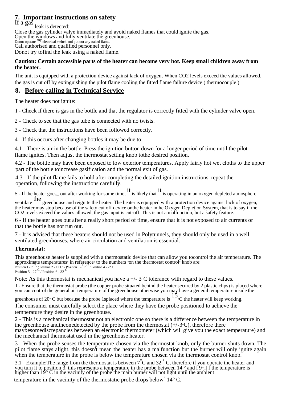### **7. Important instructions on safety**<br>If a gas <sub>leak is detected:</sub>

Close the gas cylinder valve immediately and avoid naked flames that could ignite the gas. Open the windows and fully ventilate the greenhouse. Donot operate <sup>any</sup> electrical switch and put out any naked flame.<br>Call authorised and qualified personnel only. Donot try tofind the leak using a naked flame.

#### **Caution: Certain accessible parts of the heater can become very hot. Keep small children away from the heater.**

The unit is equipped with a protection device against lack of oxygen. When CO2 levels exceed the values allowed, the gas is cut off by extinguishing the pilot flame cooling the fitted flame failure device ( thermocouple )

#### **8. Before calling in Technical Service**

The heater does not ignite:

I - Check if there is gas in the bottle and that the regulator is correctly fitted with the cylinder valve open.

2 - Check to see that the gas tube is connected with no twists.

3 - Check that the instructions have been followed correctly.

4 - If this occurs after changing bottles it may be due to:

4.1 - There is air in the bottle. Press the ignition button down for a longer period of time until the pilot flame ignites. Then adjust the thermostat setting knob tothe desired position.

4.2 - The bottle may have been exposed to low exterior temperatures. Apply fairly hot wet cloths to the upper part of the bottle toincrease gasification and the normal exit of gas.

4.3 - If the pilot flame fails to hold after completing the detailed ignition instructions, repeat the operation, following the instructions carefully.

5 - If the heater goes out after working for some time, it is likely that it is operating in an oxygen depleted atmosphere.

ventilate the greenhouse and reignite the heater. The heater is equipped with a protection device against lack of oxygen, the heater may stop because of the safety cut off device onthe heater inthe Oxygen Depletion System, that is to say if the<br>CO2 revels exceed the values allowed, the gas input is cut-off. This is not a malfunction, but a sa

6 - If the heater goes out after a really short period of time, ensure that it is not exposed to air currents or that the bottle has not run out.

7 - It is advised that these heaters should not be used in Polytunnels, they should only be used in a well ventilated greenhouses, where air circulation and ventilation is essential.

#### **Thermostat:**

This greenhouse heater is supplied with a thermostatic device that can allow you tocontrol the air temperature. The approximate temperatures° in reference° to the numbers °on the thermostat control<sup>5</sup> knob are:<br>Position 1-7<sup>-6</sup>/Position 2 - 12 C'/Position 3 - 7<sup>C</sup>/Position 4 - 22 C<br>Position 5 - 27 C/Position 6 - 32 C

Note: As this thermostat is mechanical you have a  $+/- 3^{\circ}$ C tolerance with regard to these values.

I - Ensure that the thermostat probe (the copper probe situated behind the heater secured by 2 plastic clips) is placed where you can control the general air temperature of the greenhouse otherwise you may have a general temperature inside the

greenhouse of 20° C but because the probe 1splaced where the temperature is  $15$ °C the heater will keep working. The consumer must carefully select the place where they have the probe positioned to achieve the temperature they desire in the greenhouse.

2 - This is a mechanical thermostat not an electronic one so there is a difference between the temperature in the greenhouse and theonedetected by the probe from the thermostat  $(+/-3)$ °C), therefore there maybesomediscrepancies between an electronic thermometer (which will give you the exact temperature) and the mechanical thermostat used in the greenhouse heater.

3 - When the probe senses the temperature chosen via the thermostat knob, only the burner shuts down. The pilot flame stays alight, this doesn't mean the heater has a malfunction but the burner will only ignite again when the temperature in the probe is below the temperature chosen via the thermostat control knob.

3.1 - Example: The range from the thermostat is between  $\hat{7}^{\circ}$ C and 32  $\degree$ C, therefore if you operate the heater and you turn it to position 3, this represents a temperature in the probe between 14  $\degree$  and 19 If th higher than 19° C in the vacinity of the probe the main burner will not light until the ambient

temperature in the vacinity of the thermostatic probe drops below° 14° C.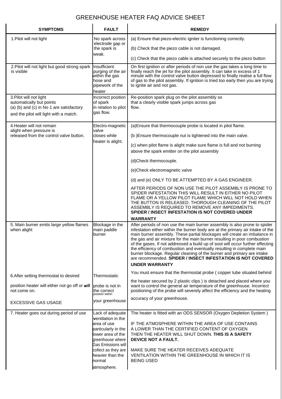#### GREENHOUSE HEATER FAQ ADVICE SHEET

| <b>SYMPTOMS</b>                                                                                                                           | <b>FAULT</b>                                                                                                                                                                                                    | <b>REMEDY</b>                                                                                                                                                                                                                                                                                                                                                                                                                                                                                                                                                                                                                                      |  |
|-------------------------------------------------------------------------------------------------------------------------------------------|-----------------------------------------------------------------------------------------------------------------------------------------------------------------------------------------------------------------|----------------------------------------------------------------------------------------------------------------------------------------------------------------------------------------------------------------------------------------------------------------------------------------------------------------------------------------------------------------------------------------------------------------------------------------------------------------------------------------------------------------------------------------------------------------------------------------------------------------------------------------------------|--|
| 1. Pilot will not light                                                                                                                   | No spark across<br>electrode gap or<br>the spark is<br>weak.                                                                                                                                                    | (a) Ensure that piezo-electric igniter is functioning correctly.                                                                                                                                                                                                                                                                                                                                                                                                                                                                                                                                                                                   |  |
|                                                                                                                                           |                                                                                                                                                                                                                 | (b) Check that the piezo cable is not damaged.                                                                                                                                                                                                                                                                                                                                                                                                                                                                                                                                                                                                     |  |
|                                                                                                                                           |                                                                                                                                                                                                                 | (c) Check that the piezo cable is attached securely to the piezo button                                                                                                                                                                                                                                                                                                                                                                                                                                                                                                                                                                            |  |
| 2. Pilot will not light but good strong spark<br>is visible                                                                               | Insufficient<br>purging of the air<br>withi̇̃n th̃e gas<br>hose and<br>pipework of the<br>heater                                                                                                                | On first ignition or after periods of non use the gas takes a long time to<br>finally reach the jet for the pilot assembly. It can take in excess of 1<br>minute with the control valve button depressed to finally realise a full flow<br>of gas to the pilot assembly. If ignition is tried too early then you are trying<br>to ignite air and not gas.                                                                                                                                                                                                                                                                                          |  |
| 3. Pilot will not light<br>automatically but points<br>(a) (b) and (c) in No 1 are satisfactory<br>and the pilot will light with a match. | Incorrect position<br>of spark<br>in relation to pilot<br>gas flow.                                                                                                                                             | Re-position spark plug on the pilot assembly so<br>that a clearly visible spark jumps across gas<br>flow.                                                                                                                                                                                                                                                                                                                                                                                                                                                                                                                                          |  |
| 4. Heater will not remain<br>alight when pressure is<br>released from the control valve button.                                           | Electro-magnetic<br>valve<br>closes while<br>heater is alight.                                                                                                                                                  | (a) Ensure that thermocouple probe is located in pilot flame.                                                                                                                                                                                                                                                                                                                                                                                                                                                                                                                                                                                      |  |
|                                                                                                                                           |                                                                                                                                                                                                                 | (b) Ensure thermocouple nut is tightened into the main valve.                                                                                                                                                                                                                                                                                                                                                                                                                                                                                                                                                                                      |  |
|                                                                                                                                           |                                                                                                                                                                                                                 | (c) when pilot flame is alight make sure flame is full and not burning<br>above the spark emitter on the pilot assembly                                                                                                                                                                                                                                                                                                                                                                                                                                                                                                                            |  |
|                                                                                                                                           |                                                                                                                                                                                                                 | (d)Check thermocouple.                                                                                                                                                                                                                                                                                                                                                                                                                                                                                                                                                                                                                             |  |
|                                                                                                                                           |                                                                                                                                                                                                                 | (e)Check electromagnetic valve                                                                                                                                                                                                                                                                                                                                                                                                                                                                                                                                                                                                                     |  |
|                                                                                                                                           |                                                                                                                                                                                                                 | (d) and (e) ONLY TO BE ATTEMPTED BY A GAS ENGINEER.                                                                                                                                                                                                                                                                                                                                                                                                                                                                                                                                                                                                |  |
|                                                                                                                                           |                                                                                                                                                                                                                 | AFTER PERIODS OF NON USE THE PILOT ASSEMBLY IS PRONE TO<br>SPIDER INFESTATION THIS WILL RESULT IN EITHER NO PILOT<br>FLAME OR A YELLOW PILOT FLAME WHICH WILL NOT HOLD WHEN<br>THE BUTTON IS RELEASED. THOROUGH CLEANING OF THE PILOT<br>ASSEMBLY IS REQUIRED TO REMOVE ANY IMPEDIMENTS.<br>SPIDER / INSECT INFESTATION IS NOT COVERED UNDER                                                                                                                                                                                                                                                                                                       |  |
|                                                                                                                                           |                                                                                                                                                                                                                 | WARRANTY                                                                                                                                                                                                                                                                                                                                                                                                                                                                                                                                                                                                                                           |  |
| 5. Main burner emits large yellow flames<br>when alight                                                                                   | Blockage in the<br>main paddle<br>burner                                                                                                                                                                        | After periods of non use the main burner assembly is also prone to spider<br>infestation either within the burner body are at the primary air intake of the<br>main burner assembly. These partial blockages will create an imbalance in<br>the gas and air mixture for the main burner resulting in poor combustion<br>of the gases. If not addressed a build up of soot will occur further effecting<br>the efficiency of combustion and eventually resulting in complete main<br>burner blockage. Regular cleaning of the burner and primary are intake<br>are recommended. SPIDER / INSECT INFESTATION IS NOT COVERED<br><b>UNDER WARRANTY</b> |  |
| 6. After setting thermostat to desired                                                                                                    | Thermostatic                                                                                                                                                                                                    | You must ensure that the thermostat probe (copper tube situated behind                                                                                                                                                                                                                                                                                                                                                                                                                                                                                                                                                                             |  |
| position heater will either not go off or will<br>not come on.                                                                            | probe is not in<br>the correct<br>position within                                                                                                                                                               | the heater secured by 2 plastic clips) is detached and placed where you<br>want to control the general air temperature of the greenhouse. Incorrect<br>positioning of the probe will severely affect the efficiency and the heating                                                                                                                                                                                                                                                                                                                                                                                                                |  |
| <b>EXCESSIVE GAS USAGE</b>                                                                                                                | your greenhouse                                                                                                                                                                                                 | accuracy of your greenhouse.                                                                                                                                                                                                                                                                                                                                                                                                                                                                                                                                                                                                                       |  |
| 7. Heater goes out during period of use                                                                                                   | Lack of adequate<br>ventilation in the<br>area of use<br>particularly in the<br>lower area of the<br>areenhouse where<br>Gas Emissions will<br>collect as they are<br>heavier than the<br>normal<br>atmosphere. | The heater is fitted with an ODS SENSOR (Oxygen Depletion System)<br>IF THE ATMOSPHERE WITHIN THE AREA OF USE CONTAINS<br>A LOWER THAN THE CERTIFIED CONTENT OF OXYGEN<br>THEN THE HEATER WILL SHUT DOWN. THIS IS A SAFETY<br>DEVICE NOT A FAULT.<br>MAKE SURE THE HEATER RECEIVES ADEQUATE<br>VENTILATION WITHIN THE GREENHOUSE IN WHICH IT IS<br><b>BEING USED</b>                                                                                                                                                                                                                                                                               |  |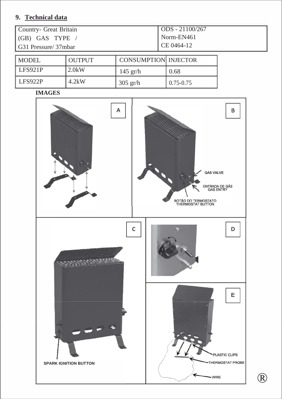#### **9. Technical data**

| Country- Great Britain | $\sim$ ODS - 21100/267 |
|------------------------|------------------------|
| (GB) GAS TYPE          | Norm-EN461             |
| G31 Pressure/37mbar    | $CE 0464-12$           |
|                        |                        |

| <b>MODEL</b> | <b>OUTPUT</b> | <b>CONSUMPTION INJECTOR</b> |               |
|--------------|---------------|-----------------------------|---------------|
| LFS921P      | $2.0$ kW      | $145$ gr/h                  | 0.68          |
| LFS922P      | 4.2kW         | $305$ gr/h                  | $0.75 - 0.75$ |

**IMAGES**